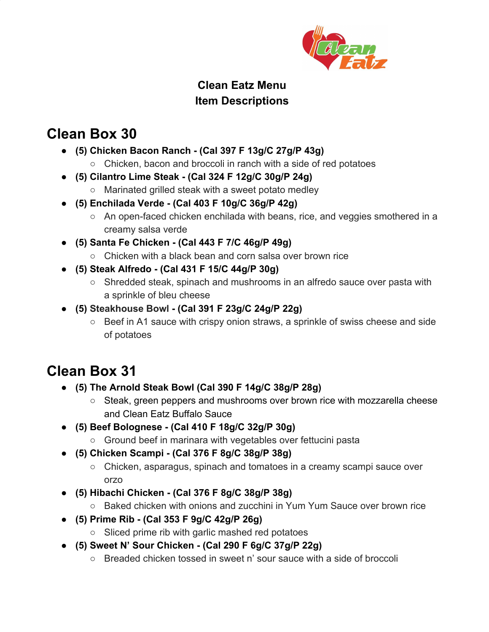

#### **Clean Eatz Menu Item Descriptions**

### **Clean Box 30**

- **(5) Chicken Bacon Ranch (Cal 397 F 13g/C 27g/P 43g)**
	- Chicken, bacon and broccoli in ranch with a side of red potatoes
- **● (5) Cilantro Lime Steak (Cal 324 F 12g/C 30g/P 24g)**
	- Marinated grilled steak with a sweet potato medley
- **(5) Enchilada Verde (Cal 403 F 10g/C 36g/P 42g)**
	- An open-faced chicken enchilada with beans, rice, and veggies smothered in a creamy salsa verde
- **● (5) Santa Fe Chicken (Cal 443 F 7/C 46g/P 49g)**
	- Chicken with a black bean and corn salsa over brown rice
- **● (5) Steak Alfredo (Cal 431 F 15/C 44g/P 30g)**
	- Shredded steak, spinach and mushrooms in an alfredo sauce over pasta with a sprinkle of bleu cheese
- **(5) Steakhouse Bowl (Cal 391 F 23g/C 24g/P 22g)**
	- Beef in A1 sauce with crispy onion straws, a sprinkle of swiss cheese and side of potatoes

# **Clean Box 31**

- **● (5) The Arnold Steak Bowl (Cal 390 F 14g/C 38g/P 28g)**
	- Steak, green peppers and mushrooms over brown rice with mozzarella cheese and Clean Eatz Buffalo Sauce
- **● (5) Beef Bolognese (Cal 410 F 18g/C 32g/P 30g)**
	- Ground beef in marinara with vegetables over fettucini pasta
- **● (5) Chicken Scampi (Cal 376 F 8g/C 38g/P 38g)**
	- Chicken, asparagus, spinach and tomatoes in a creamy scampi sauce over orzo
- **● (5) Hibachi Chicken (Cal 376 F 8g/C 38g/P 38g)**
	- Baked chicken with onions and zucchini in Yum Yum Sauce over brown rice
- **● (5) Prime Rib (Cal 353 F 9g/C 42g/P 26g)**
	- Sliced prime rib with garlic mashed red potatoes
- **● (5) Sweet N' Sour Chicken (Cal 290 F 6g/C 37g/P 22g)**
	- $\circ$  Breaded chicken tossed in sweet n' sour sauce with a side of broccoli